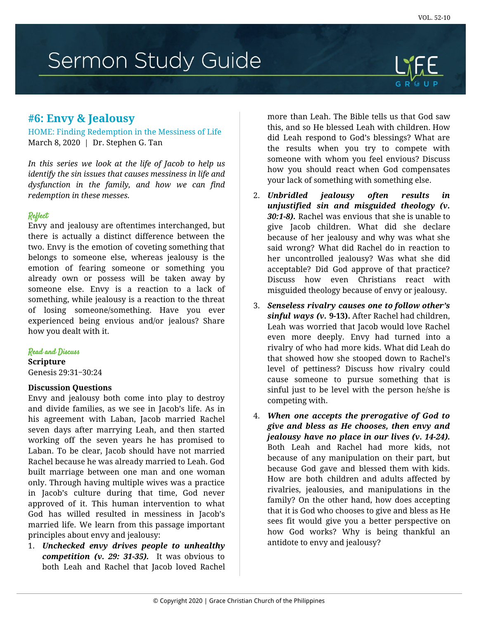# Sermon Study Guide

# **#6: Envy & Jealousy**

HOME: Finding Redemption in the Messiness of Life March 8, 2020 | Dr. Stephen G. Tan

*In this series we look at the life of Jacob to help us identify the sin issues that causes messiness in life and dysfunction in the family, and how we can find redemption in these messes.*

## Reflect

Envy and jealousy are oftentimes interchanged, but there is actually a distinct difference between the two. Envy is the emotion of coveting something that belongs to someone else, whereas jealousy is the emotion of fearing someone or something you already own or possess will be taken away by someone else. Envy is a reaction to a lack of something, while jealousy is a reaction to the threat of losing someone/something. Have you ever experienced being envious and/or jealous? Share how you dealt with it.

#### Read and Discuss

**Scripture**

Genesis 29:31‒30:24

#### **Discussion Questions**

Envy and jealousy both come into play to destroy and divide families, as we see in Jacob's life. As in his agreement with Laban, Jacob married Rachel seven days after marrying Leah, and then started working off the seven years he has promised to Laban. To be clear, Jacob should have not married Rachel because he was already married to Leah. God built marriage between one man and one woman only. Through having multiple wives was a practice in Jacob's culture during that time, God never approved of it. This human intervention to what God has willed resulted in messiness in Jacob's married life. We learn from this passage important principles about envy and jealousy:

1. *Unchecked envy drives people to unhealthy competition (v. 29: 31-35).* It was obvious to both Leah and Rachel that Jacob loved Rachel more than Leah. The Bible tells us that God saw this, and so He blessed Leah with children. How did Leah respond to God's blessings? What are the results when you try to compete with someone with whom you feel envious? Discuss how you should react when God compensates your lack of something with something else.

- 2. *Unbridled jealousy often results in unjustified sin and misguided theology (v. 30:1-8).* Rachel was envious that she is unable to give Jacob children. What did she declare because of her jealousy and why was what she said wrong? What did Rachel do in reaction to her uncontrolled jealousy? Was what she did acceptable? Did God approve of that practice? Discuss how even Christians react with misguided theology because of envy or jealousy.
- 3. *Senseless rivalry causes one to follow other's sinful ways (v.* **9-13).** After Rachel had children, Leah was worried that Jacob would love Rachel even more deeply. Envy had turned into a rivalry of who had more kids. What did Leah do that showed how she stooped down to Rachel's level of pettiness? Discuss how rivalry could cause someone to pursue something that is sinful just to be level with the person he/she is competing with.
- 4. *When one accepts the prerogative of God to give and bless as He chooses, then envy and jealousy have no place in our lives (v. 14-24).* Both Leah and Rachel had more kids, not because of any manipulation on their part, but because God gave and blessed them with kids. How are both children and adults affected by rivalries, jealousies, and manipulations in the family? On the other hand, how does accepting that it is God who chooses to give and bless as He sees fit would give you a better perspective on how God works? Why is being thankful an antidote to envy and jealousy?